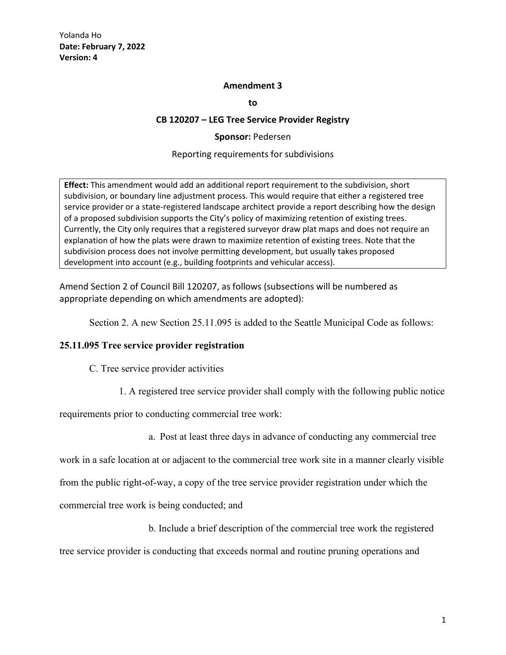### **Amendment 3**

**to**

#### **CB 120207 – LEG Tree Service Provider Registry**

**Sponsor:** Pedersen

#### Reporting requirements for subdivisions

**Effect:** This amendment would add an additional report requirement to the subdivision, short subdivision, or boundary line adjustment process. This would require that either a registered tree service provider or a state-registered landscape architect provide a report describing how the design of a proposed subdivision supports the City's policy of maximizing retention of existing trees. Currently, the City only requires that a registered surveyor draw plat maps and does not require an explanation of how the plats were drawn to maximize retention of existing trees. Note that the subdivision process does not involve permitting development, but usually takes proposed development into account (e.g., building footprints and vehicular access).

Amend Section 2 of Council Bill 120207, as follows (subsections will be numbered as appropriate depending on which amendments are adopted):

Section 2. A new Section 25.11.095 is added to the Seattle Municipal Code as follows:

## **25.11.095 Tree service provider registration**

C. Tree service provider activities

1. A registered tree service provider shall comply with the following public notice

requirements prior to conducting commercial tree work:

a. Post at least three days in advance of conducting any commercial tree

work in a safe location at or adjacent to the commercial tree work site in a manner clearly visible

from the public right-of-way, a copy of the tree service provider registration under which the

commercial tree work is being conducted; and

b. Include a brief description of the commercial tree work the registered

tree service provider is conducting that exceeds normal and routine pruning operations and